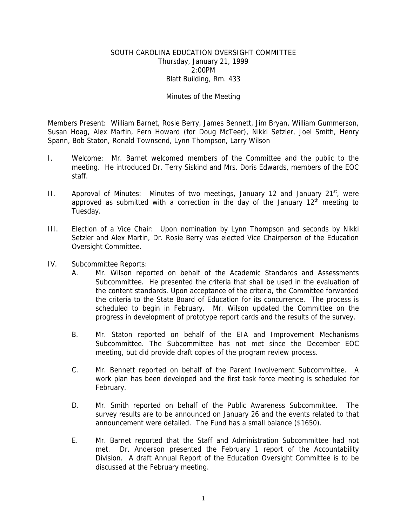# SOUTH CAROLINA EDUCATION OVERSIGHT COMMITTEE Thursday, January 21, 1999 2:00PM Blatt Building, Rm. 433

# Minutes of the Meeting

Members Present: William Barnet, Rosie Berry, James Bennett, Jim Bryan, William Gummerson, Susan Hoag, Alex Martin, Fern Howard (for Doug McTeer), Nikki Setzler, Joel Smith, Henry Spann, Bob Staton, Ronald Townsend, Lynn Thompson, Larry Wilson

- I. Welcome: Mr. Barnet welcomed members of the Committee and the public to the meeting. He introduced Dr. Terry Siskind and Mrs. Doris Edwards, members of the EOC staff.
- II. Approval of Minutes: Minutes of two meetings, January 12 and January  $21^{st}$ , were approved as submitted with a correction in the day of the January  $12<sup>th</sup>$  meeting to Tuesday.
- III. Election of a Vice Chair: Upon nomination by Lynn Thompson and seconds by Nikki Setzler and Alex Martin, Dr. Rosie Berry was elected Vice Chairperson of the Education Oversight Committee.
- IV. Subcommittee Reports:
	- A. Mr. Wilson reported on behalf of the Academic Standards and Assessments Subcommittee. He presented the criteria that shall be used in the evaluation of the content standards. Upon acceptance of the criteria, the Committee forwarded the criteria to the State Board of Education for its concurrence. The process is scheduled to begin in February. Mr. Wilson updated the Committee on the progress in development of prototype report cards and the results of the survey.
	- B. Mr. Staton reported on behalf of the EIA and Improvement Mechanisms Subcommittee. The Subcommittee has not met since the December EOC meeting, but did provide draft copies of the program review process.
	- C. Mr. Bennett reported on behalf of the Parent Involvement Subcommittee. A work plan has been developed and the first task force meeting is scheduled for February.
	- D. Mr. Smith reported on behalf of the Public Awareness Subcommittee. The survey results are to be announced on January 26 and the events related to that announcement were detailed. The Fund has a small balance (\$1650).
	- E. Mr. Barnet reported that the Staff and Administration Subcommittee had not met. Dr. Anderson presented the February 1 report of the Accountability Division. A draft Annual Report of the Education Oversight Committee is to be discussed at the February meeting.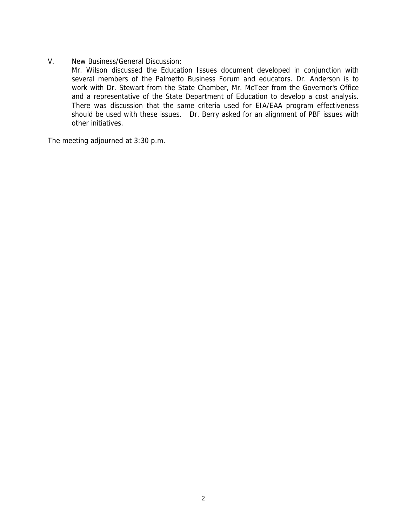V. New Business/General Discussion:

Mr. Wilson discussed the Education Issues document developed in conjunction with several members of the Palmetto Business Forum and educators. Dr. Anderson is to work with Dr. Stewart from the State Chamber, Mr. McTeer from the Governor's Office and a representative of the State Department of Education to develop a cost analysis. There was discussion that the same criteria used for EIA/EAA program effectiveness should be used with these issues. Dr. Berry asked for an alignment of PBF issues with other initiatives.

The meeting adjourned at 3:30 p.m.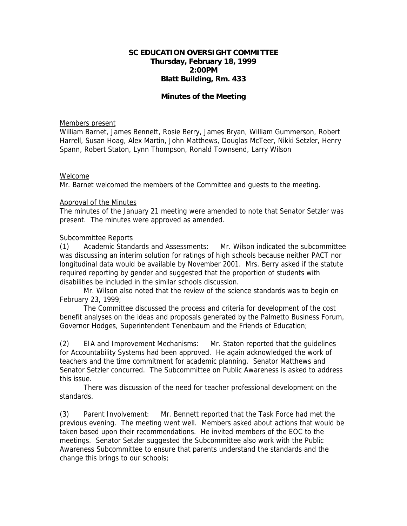# **SC EDUCATION OVERSIGHT COMMITTEE Thursday, February 18, 1999 2:00PM Blatt Building, Rm. 433**

# **Minutes of the Meeting**

#### Members present

William Barnet, James Bennett, Rosie Berry, James Bryan, William Gummerson, Robert Harrell, Susan Hoag, Alex Martin, John Matthews, Douglas McTeer, Nikki Setzler, Henry Spann, Robert Staton, Lynn Thompson, Ronald Townsend, Larry Wilson

## Welcome

Mr. Barnet welcomed the members of the Committee and guests to the meeting.

## Approval of the Minutes

The minutes of the January 21 meeting were amended to note that Senator Setzler was present. The minutes were approved as amended.

## Subcommittee Reports

(1) Academic Standards and Assessments: Mr. Wilson indicated the subcommittee was discussing an interim solution for ratings of high schools because neither PACT nor longitudinal data would be available by November 2001. Mrs. Berry asked if the statute required reporting by gender and suggested that the proportion of students with disabilities be included in the similar schools discussion.

 Mr. Wilson also noted that the review of the science standards was to begin on February 23, 1999;

The Committee discussed the process and criteria for development of the cost benefit analyses on the ideas and proposals generated by the Palmetto Business Forum, Governor Hodges, Superintendent Tenenbaum and the Friends of Education;

(2) EIA and Improvement Mechanisms: Mr. Staton reported that the guidelines for Accountability Systems had been approved. He again acknowledged the work of teachers and the time commitment for academic planning. Senator Matthews and Senator Setzler concurred. The Subcommittee on Public Awareness is asked to address this issue.

 There was discussion of the need for teacher professional development on the standards.

(3) Parent Involvement: Mr. Bennett reported that the Task Force had met the previous evening. The meeting went well. Members asked about actions that would be taken based upon their recommendations. He invited members of the EOC to the meetings. Senator Setzler suggested the Subcommittee also work with the Public Awareness Subcommittee to ensure that parents understand the standards and the change this brings to our schools;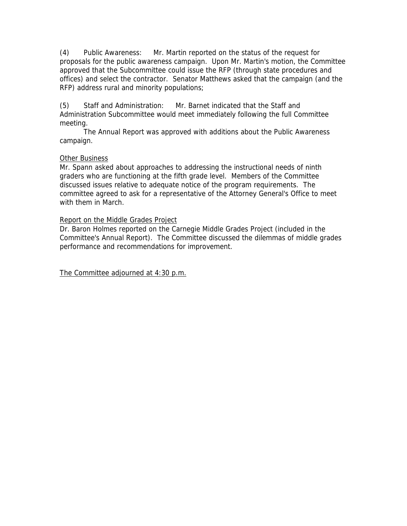(4) Public Awareness: Mr. Martin reported on the status of the request for proposals for the public awareness campaign. Upon Mr. Martin's motion, the Committee approved that the Subcommittee could issue the RFP (through state procedures and offices) and select the contractor. Senator Matthews asked that the campaign (and the RFP) address rural and minority populations;

(5) Staff and Administration: Mr. Barnet indicated that the Staff and Administration Subcommittee would meet immediately following the full Committee meeting.

 The Annual Report was approved with additions about the Public Awareness campaign.

# Other Business

Mr. Spann asked about approaches to addressing the instructional needs of ninth graders who are functioning at the fifth grade level. Members of the Committee discussed issues relative to adequate notice of the program requirements. The committee agreed to ask for a representative of the Attorney General's Office to meet with them in March.

# Report on the Middle Grades Project

Dr. Baron Holmes reported on the Carnegie Middle Grades Project (included in the Committee's Annual Report). The Committee discussed the dilemmas of middle grades performance and recommendations for improvement.

The Committee adjourned at 4:30 p.m.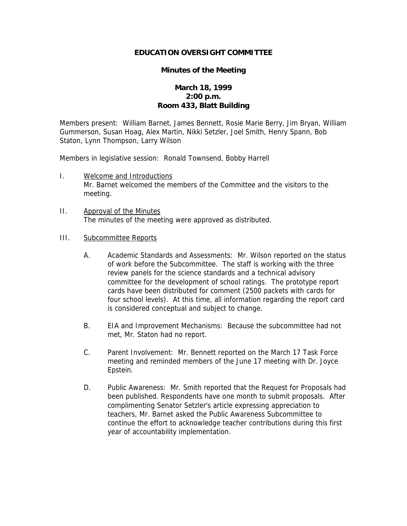# **EDUCATION OVERSIGHT COMMITTEE**

## **Minutes of the Meeting**

# **March 18, 1999 2:00 p.m. Room 433, Blatt Building**

Members present: William Barnet, James Bennett, Rosie Marie Berry, Jim Bryan, William Gummerson, Susan Hoag, Alex Martin, Nikki Setzler, Joel Smith, Henry Spann, Bob Staton, Lynn Thompson, Larry Wilson

Members in legislative session: Ronald Townsend, Bobby Harrell

- I. Welcome and Introductions Mr. Barnet welcomed the members of the Committee and the visitors to the meeting.
- II. Approval of the Minutes The minutes of the meeting were approved as distributed.

# III. Subcommittee Reports

- A. Academic Standards and Assessments: Mr. Wilson reported on the status of work before the Subcommittee. The staff is working with the three review panels for the science standards and a technical advisory committee for the development of school ratings. The prototype report cards have been distributed for comment (2500 packets with cards for four school levels). At this time, all information regarding the report card is considered conceptual and subject to change.
- B. EIA and Improvement Mechanisms: Because the subcommittee had not met, Mr. Staton had no report.
- C. Parent Involvement: Mr. Bennett reported on the March 17 Task Force meeting and reminded members of the June 17 meeting with Dr. Joyce Epstein.
- D. Public Awareness: Mr. Smith reported that the Request for Proposals had been published. Respondents have one month to submit proposals. After complimenting Senator Setzler's article expressing appreciation to teachers, Mr. Barnet asked the Public Awareness Subcommittee to continue the effort to acknowledge teacher contributions during this first year of accountability implementation.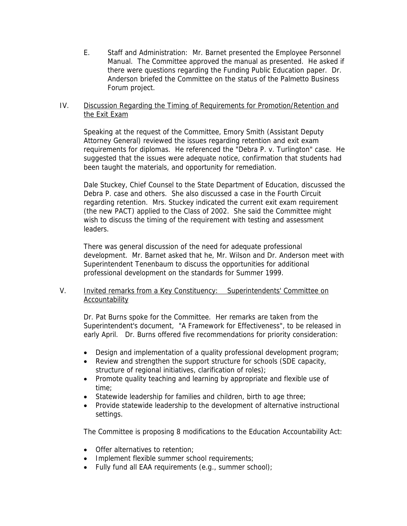E. Staff and Administration: Mr. Barnet presented the Employee Personnel Manual. The Committee approved the manual as presented. He asked if there were questions regarding the Funding Public Education paper. Dr. Anderson briefed the Committee on the status of the Palmetto Business Forum project.

# IV. Discussion Regarding the Timing of Requirements for Promotion/Retention and the Exit Exam

Speaking at the request of the Committee, Emory Smith (Assistant Deputy Attorney General) reviewed the issues regarding retention and exit exam requirements for diplomas. He referenced the "Debra P. v. Turlington" case. He suggested that the issues were adequate notice, confirmation that students had been taught the materials, and opportunity for remediation.

Dale Stuckey, Chief Counsel to the State Department of Education, discussed the Debra P. case and others. She also discussed a case in the Fourth Circuit regarding retention. Mrs. Stuckey indicated the current exit exam requirement (the new PACT) applied to the Class of 2002. She said the Committee might wish to discuss the timing of the requirement with testing and assessment leaders.

There was general discussion of the need for adequate professional development. Mr. Barnet asked that he, Mr. Wilson and Dr. Anderson meet with Superintendent Tenenbaum to discuss the opportunities for additional professional development on the standards for Summer 1999.

# V. Invited remarks from a Key Constituency: Superintendents' Committee on Accountability

Dr. Pat Burns spoke for the Committee. Her remarks are taken from the Superintendent's document, "A Framework for Effectiveness", to be released in early April. Dr. Burns offered five recommendations for priority consideration:

- Design and implementation of a quality professional development program;
- Review and strengthen the support structure for schools (SDE capacity, structure of regional initiatives, clarification of roles);
- Promote quality teaching and learning by appropriate and flexible use of time;
- Statewide leadership for families and children, birth to age three;
- Provide statewide leadership to the development of alternative instructional settings.

The Committee is proposing 8 modifications to the Education Accountability Act:

- Offer alternatives to retention;
- Implement flexible summer school requirements;
- Fully fund all EAA requirements (e.g., summer school);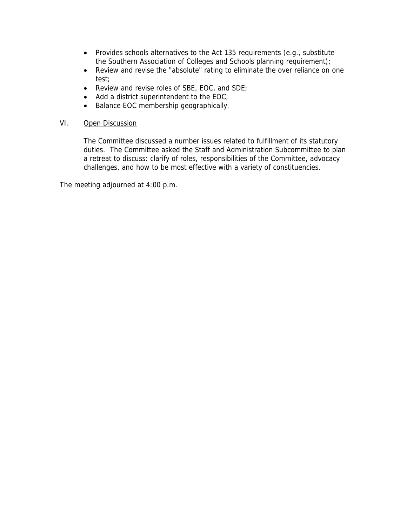- Provides schools alternatives to the Act 135 requirements (e.g., substitute the Southern Association of Colleges and Schools planning requirement);
- Review and revise the "absolute" rating to eliminate the over reliance on one test;
- Review and revise roles of SBE, EOC, and SDE;
- Add a district superintendent to the EOC;
- Balance EOC membership geographically.

# VI. Open Discussion

The Committee discussed a number issues related to fulfillment of its statutory duties. The Committee asked the Staff and Administration Subcommittee to plan a retreat to discuss: clarify of roles, responsibilities of the Committee, advocacy challenges, and how to be most effective with a variety of constituencies.

The meeting adjourned at 4:00 p.m.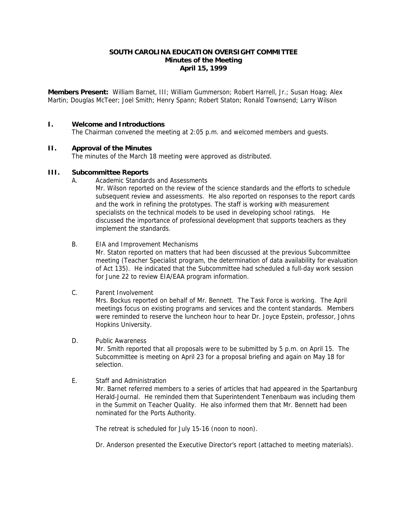## **SOUTH CAROLINA EDUCATION OVERSIGHT COMMITTEE Minutes of the Meeting April 15, 1999**

**Members Present:** William Barnet, III; William Gummerson; Robert Harrell, Jr.; Susan Hoag; Alex Martin; Douglas McTeer; Joel Smith; Henry Spann; Robert Staton; Ronald Townsend; Larry Wilson

## **I. Welcome and Introductions**

The Chairman convened the meeting at 2:05 p.m. and welcomed members and guests.

## **II. Approval of the Minutes**

The minutes of the March 18 meeting were approved as distributed.

## **III. Subcommittee Reports**

A. Academic Standards and Assessments

Mr. Wilson reported on the review of the science standards and the efforts to schedule subsequent review and assessments. He also reported on responses to the report cards and the work in refining the prototypes. The staff is working with measurement specialists on the technical models to be used in developing school ratings. He discussed the importance of professional development that supports teachers as they implement the standards.

## B. EIA and Improvement Mechanisms

Mr. Staton reported on matters that had been discussed at the previous Subcommittee meeting (Teacher Specialist program, the determination of data availability for evaluation of Act 135). He indicated that the Subcommittee had scheduled a full-day work session for June 22 to review EIA/EAA program information.

#### C. Parent Involvement

Mrs. Bockus reported on behalf of Mr. Bennett. The Task Force is working. The April meetings focus on existing programs and services and the content standards. Members were reminded to reserve the luncheon hour to hear Dr. Joyce Epstein, professor, Johns Hopkins University.

#### D. Public Awareness

Mr. Smith reported that all proposals were to be submitted by 5 p.m. on April 15. The Subcommittee is meeting on April 23 for a proposal briefing and again on May 18 for selection.

#### E. Staff and Administration

Mr. Barnet referred members to a series of articles that had appeared in the Spartanburg Herald-Journal. He reminded them that Superintendent Tenenbaum was including them in the Summit on Teacher Quality. He also informed them that Mr. Bennett had been nominated for the Ports Authority.

The retreat is scheduled for July 15-16 (noon to noon).

Dr. Anderson presented the Executive Director's report (attached to meeting materials).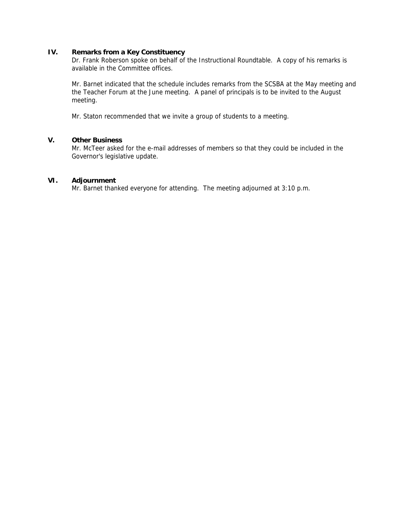# **IV. Remarks from a Key Constituency**

Dr. Frank Roberson spoke on behalf of the Instructional Roundtable. A copy of his remarks is available in the Committee offices.

Mr. Barnet indicated that the schedule includes remarks from the SCSBA at the May meeting and the Teacher Forum at the June meeting. A panel of principals is to be invited to the August meeting.

Mr. Staton recommended that we invite a group of students to a meeting.

# **V. Other Business**

Mr. McTeer asked for the e-mail addresses of members so that they could be included in the Governor's legislative update.

# **VI. Adjournment**

Mr. Barnet thanked everyone for attending. The meeting adjourned at 3:10 p.m.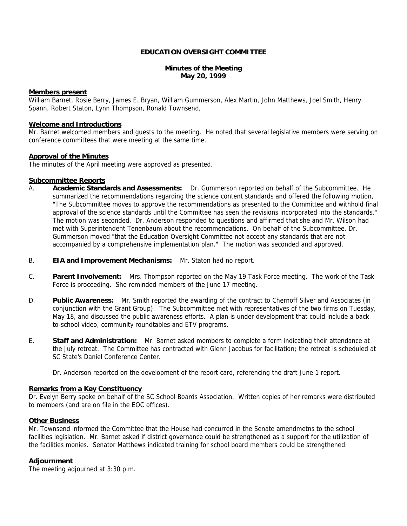## **EDUCATION OVERSIGHT COMMITTEE**

#### **Minutes of the Meeting May 20, 1999**

#### **Members present**

William Barnet, Rosie Berry, James E. Bryan, William Gummerson, Alex Martin, John Matthews, Joel Smith, Henry Spann, Robert Staton, Lynn Thompson, Ronald Townsend,

#### **Welcome and Introductions**

Mr. Barnet welcomed members and guests to the meeting. He noted that several legislative members were serving on conference committees that were meeting at the same time.

## **Approval of the Minutes**

The minutes of the April meeting were approved as presented.

#### **Subcommittee Reports**

- A. **Academic Standards and Assessments:** Dr. Gummerson reported on behalf of the Subcommittee. He summarized the recommendations regarding the science content standards and offered the following motion, "The Subcommittee moves to approve the recommendations as presented to the Committee and withhold final approval of the science standards until the Committee has seen the revisions incorporated into the standards." The motion was seconded. Dr. Anderson responded to questions and affirmed that she and Mr. Wilson had met with Superintendent Tenenbaum about the recommendations. On behalf of the Subcommittee, Dr. Gummerson moved "that the Education Oversight Committee not accept any standards that are not accompanied by a comprehensive implementation plan." The motion was seconded and approved.
- B. **EIA and Improvement Mechanisms:** Mr. Staton had no report.
- C. **Parent Involvement:** Mrs. Thompson reported on the May 19 Task Force meeting. The work of the Task Force is proceeding. She reminded members of the June 17 meeting.
- D. **Public Awareness:** Mr. Smith reported the awarding of the contract to Chernoff Silver and Associates (in conjunction with the Grant Group). The Subcommittee met with representatives of the two firms on Tuesday, May 18, and discussed the public awareness efforts. A plan is under development that could include a backto-school video, community roundtables and ETV programs.
- E. **Staff and Administration:** Mr. Barnet asked members to complete a form indicating their attendance at the July retreat. The Committee has contracted with Glenn Jacobus for facilitation; the retreat is scheduled at SC State's Daniel Conference Center.
	- Dr. Anderson reported on the development of the report card, referencing the draft June 1 report.

#### **Remarks from a Key Constituency**

Dr. Evelyn Berry spoke on behalf of the SC School Boards Association. Written copies of her remarks were distributed to members (and are on file in the EOC offices).

#### **Other Business**

Mr. Townsend informed the Committee that the House had concurred in the Senate amendmetns to the school facilities legislation. Mr. Barnet asked if district governance could be strengthened as a support for the utilization of the facilities monies. Senator Matthews indicated training for school board members could be strengthened.

#### **Adjournment**

The meeting adjourned at 3:30 p.m.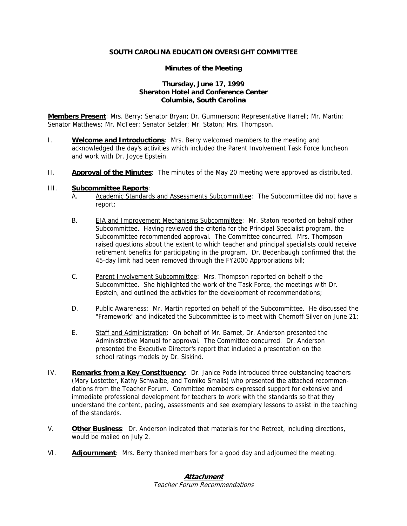## **SOUTH CAROLINA EDUCATION OVERSIGHT COMMITTEE**

## **Minutes of the Meeting**

# **Thursday, June 17, 1999 Sheraton Hotel and Conference Center Columbia, South Carolina**

**Members Present**: Mrs. Berry; Senator Bryan; Dr. Gummerson; Representative Harrell; Mr. Martin; Senator Matthews; Mr. McTeer; Senator Setzler; Mr. Staton; Mrs. Thompson.

- I. **Welcome and Introductions**: Mrs. Berry welcomed members to the meeting and acknowledged the day's activities which included the Parent Involvement Task Force luncheon and work with Dr. Joyce Epstein.
- II. **Approval of the Minutes**: The minutes of the May 20 meeting were approved as distributed.

#### III. **Subcommittee Reports**:

- A. Academic Standards and Assessments Subcommittee: The Subcommittee did not have a report;
- B. EIA and Improvement Mechanisms Subcommittee: Mr. Staton reported on behalf other Subcommittee. Having reviewed the criteria for the Principal Specialist program, the Subcommittee recommended approval. The Committee concurred. Mrs. Thompson raised questions about the extent to which teacher and principal specialists could receive retirement benefits for participating in the program. Dr. Bedenbaugh confirmed that the 45-day limit had been removed through the FY2000 Appropriations bill;
- C. Parent Involvement Subcommittee: Mrs. Thompson reported on behalf o the Subcommittee. She highlighted the work of the Task Force, the meetings with Dr. Epstein, and outlined the activities for the development of recommendations;
- D. Public Awareness: Mr. Martin reported on behalf of the Subcommittee. He discussed the "Framework" and indicated the Subcommittee is to meet with Chernoff-Silver on June 21;
- E. Staff and Administration: On behalf of Mr. Barnet, Dr. Anderson presented the Administrative Manual for approval. The Committee concurred. Dr. Anderson presented the Executive Director's report that included a presentation on the school ratings models by Dr. Siskind.
- IV. **Remarks from a Key Constituency**: Dr. Janice Poda introduced three outstanding teachers (Mary Lostetter, Kathy Schwalbe, and Tomiko Smalls) who presented the attached recommendations from the Teacher Forum. Committee members expressed support for extensive and immediate professional development for teachers to work with the standards so that they understand the content, pacing, assessments and see exemplary lessons to assist in the teaching of the standards.
- V. **Other Business**: Dr. Anderson indicated that materials for the Retreat, including directions, would be mailed on July 2.
- VI. **Adjournment**: Mrs. Berry thanked members for a good day and adjourned the meeting.

# **Attachment**

Teacher Forum Recommendations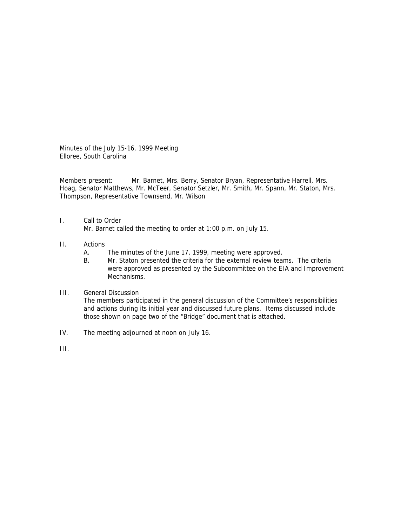Minutes of the July 15-16, 1999 Meeting Elloree, South Carolina

Members present: Mr. Barnet, Mrs. Berry, Senator Bryan, Representative Harrell, Mrs. Hoag, Senator Matthews, Mr. McTeer, Senator Setzler, Mr. Smith, Mr. Spann, Mr. Staton, Mrs. Thompson, Representative Townsend, Mr. Wilson

## I. Call to Order

Mr. Barnet called the meeting to order at 1:00 p.m. on July 15.

## II. Actions

- A. The minutes of the June 17, 1999, meeting were approved.
- B. Mr. Staton presented the criteria for the external review teams. The criteria were approved as presented by the Subcommittee on the EIA and Improvement Mechanisms.

#### III. General Discussion

The members participated in the general discussion of the Committee's responsibilities and actions during its initial year and discussed future plans. Items discussed include those shown on page two of the "Bridge" document that is attached.

IV. The meeting adjourned at noon on July 16.

III.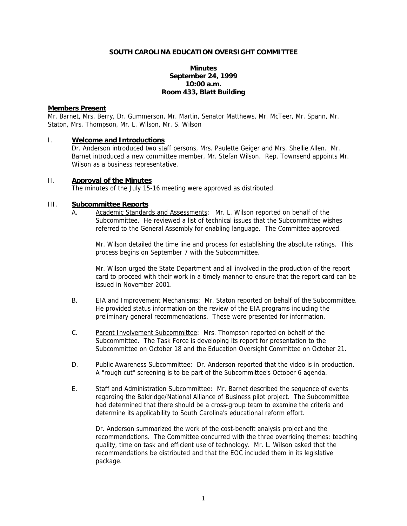#### **SOUTH CAROLINA EDUCATION OVERSIGHT COMMITTEE**

## **Minutes September 24, 1999 10:00 a.m. Room 433, Blatt Building**

#### **Members Present**

Mr. Barnet, Mrs. Berry, Dr. Gummerson, Mr. Martin, Senator Matthews, Mr. McTeer, Mr. Spann, Mr. Staton, Mrs. Thompson, Mr. L. Wilson, Mr. S. Wilson

#### I. **Welcome and Introductions**

Dr. Anderson introduced two staff persons, Mrs. Paulette Geiger and Mrs. Shellie Allen. Mr. Barnet introduced a new committee member, Mr. Stefan Wilson. Rep. Townsend appoints Mr. Wilson as a business representative.

#### II. **Approval of the Minutes**

The minutes of the July 15-16 meeting were approved as distributed.

## III. **Subcommittee Reports**

A. Academic Standards and Assessments: Mr. L. Wilson reported on behalf of the Subcommittee. He reviewed a list of technical issues that the Subcommittee wishes referred to the General Assembly for enabling language. The Committee approved.

Mr. Wilson detailed the time line and process for establishing the absolute ratings. This process begins on September 7 with the Subcommittee.

Mr. Wilson urged the State Department and all involved in the production of the report card to proceed with their work in a timely manner to ensure that the report card can be issued in November 2001.

- B. EIA and Improvement Mechanisms: Mr. Staton reported on behalf of the Subcommittee. He provided status information on the review of the EIA programs including the preliminary general recommendations. These were presented for information.
- C. Parent Involvement Subcommittee: Mrs. Thompson reported on behalf of the Subcommittee. The Task Force is developing its report for presentation to the Subcommittee on October 18 and the Education Oversight Committee on October 21.
- D. Public Awareness Subcommittee: Dr. Anderson reported that the video is in production. A "rough cut" screening is to be part of the Subcommittee's October 6 agenda.
- E. Staff and Administration Subcommittee: Mr. Barnet described the sequence of events regarding the Baldridge/National Alliance of Business pilot project. The Subcommittee had determined that there should be a cross-group team to examine the criteria and determine its applicability to South Carolina's educational reform effort.

Dr. Anderson summarized the work of the cost-benefit analysis project and the recommendations. The Committee concurred with the three overriding themes: teaching quality, time on task and efficient use of technology. Mr. L. Wilson asked that the recommendations be distributed and that the EOC included them in its legislative package.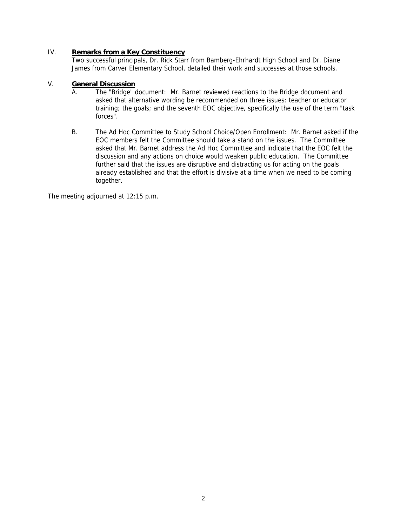# IV. **Remarks from a Key Constituency**

Two successful principals, Dr. Rick Starr from Bamberg-Ehrhardt High School and Dr. Diane James from Carver Elementary School, detailed their work and successes at those schools.

# V. **General Discussion**

- A. The "Bridge" document: Mr. Barnet reviewed reactions to the Bridge document and asked that alternative wording be recommended on three issues: teacher or educator training; the goals; and the seventh EOC objective, specifically the use of the term "task forces".
- B. The Ad Hoc Committee to Study School Choice/Open Enrollment: Mr. Barnet asked if the EOC members felt the Committee should take a stand on the issues. The Committee asked that Mr. Barnet address the Ad Hoc Committee and indicate that the EOC felt the discussion and any actions on choice would weaken public education. The Committee further said that the issues are disruptive and distracting us for acting on the goals already established and that the effort is divisive at a time when we need to be coming together.

The meeting adjourned at 12:15 p.m.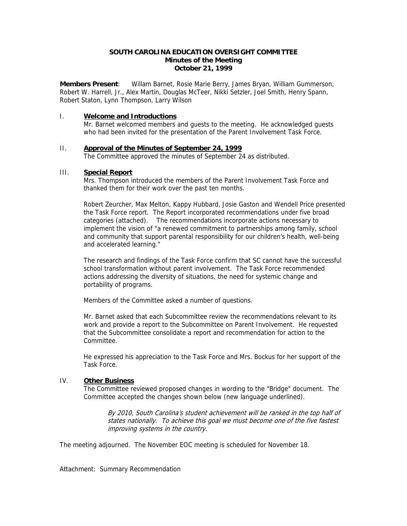## **SOUTH CAROLINA EDUCATION OVERSIGHT COMMITTEE Minutes of the Meeting October 21, 1999**

**Members Present**: Willam Barnet, Rosie Marie Berry, James Bryan, William Gummerson, Robert W. Harrell, Jr., Alex Martin, Douglas McTeer, Nikki Setzler, Joel Smith, Henry Spann, Robert Staton, Lynn Thompson, Larry Wilson

#### I. **Welcome and Introductions**

Mr. Barnet welcomed members and guests to the meeting. He acknowledged guests who had been invited for the presentation of the Parent Involvement Task Force.

# II. **Approval of the Minutes of September 24, 1999**

The Committee approved the minutes of September 24 as distributed.

## III. **Special Report**

Mrs. Thompson introduced the members of the Parent Involvement Task Force and thanked them for their work over the past ten months.

Robert Zeurcher, Max Melton, Kappy Hubbard, Josie Gaston and Wendell Price presented the Task Force report. The Report incorporated recommendations under five broad categories (attached). The recommendations incorporate actions necessary to implement the vision of "a renewed commitment to partnerships among family, school and community that support parental responsibility for our children's health, well-being and accelerated learning."

The research and findings of the Task Force confirm that SC cannot have the successful school transformation without parent involvement. The Task Force recommended actions addressing the diversity of situations, the need for systemic change and portability of programs.

Members of the Committee asked a number of questions.

Mr. Barnet asked that each Subcommittee review the recommendations relevant to its work and provide a report to the Subcommittee on Parent Involvement. He requested that the Subcommittee consolidate a report and recommendation for action to the Committee.

He expressed his appreciation to the Task Force and Mrs. Bockus for her support of the Task Force.

#### IV. **Other Business**

The Committee reviewed proposed changes in wording to the "Bridge" document. The Committee accepted the changes shown below (new language underlined).

By 2010, South Carolina's student achievement will be ranked in the top half of states nationally. To achieve this goal we must become one of the five fastest improving systems in the country.

The meeting adjourned. The November EOC meeting is scheduled for November 18.

Attachment: Summary Recommendation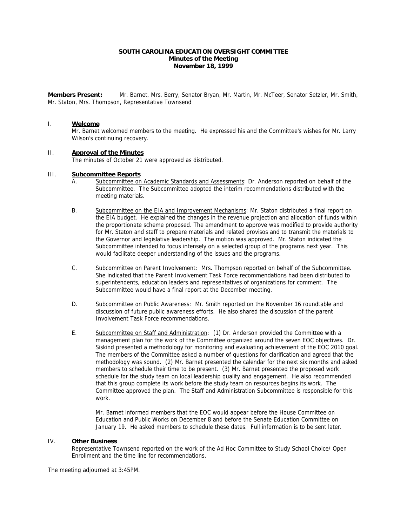#### **SOUTH CAROLINA EDUCATION OVERSIGHT COMMITTEE Minutes of the Meeting November 18, 1999**

**Members Present:** Mr. Barnet, Mrs. Berry, Senator Bryan, Mr. Martin, Mr. McTeer, Senator Setzler, Mr. Smith, Mr. Staton, Mrs. Thompson, Representative Townsend

#### I. **Welcome**

Mr. Barnet welcomed members to the meeting. He expressed his and the Committee's wishes for Mr. Larry Wilson's continuing recovery.

#### II. **Approval of the Minutes**

The minutes of October 21 were approved as distributed.

#### III. **Subcommittee Reports**

- A. Subcommittee on Academic Standards and Assessments: Dr. Anderson reported on behalf of the Subcommittee. The Subcommittee adopted the interim recommendations distributed with the meeting materials.
- B. Subcommittee on the EIA and Improvement Mechanisms: Mr. Staton distributed a final report on the EIA budget. He explained the changes in the revenue projection and allocation of funds within the proportionate scheme proposed. The amendment to approve was modified to provide authority for Mr. Staton and staff to prepare materials and related provisos and to transmit the materials to the Governor and legislative leadership. The motion was approved. Mr. Staton indicated the Subcommittee intended to focus intensely on a selected group of the programs next year. This would facilitate deeper understanding of the issues and the programs.
- C. Subcommittee on Parent Involvement: Mrs. Thompson reported on behalf of the Subcommittee. She indicated that the Parent Involvement Task Force recommendations had been distributed to superintendents, education leaders and representatives of organizations for comment. The Subcommittee would have a final report at the December meeting.
- D. Subcommittee on Public Awareness: Mr. Smith reported on the November 16 roundtable and discussion of future public awareness efforts. He also shared the discussion of the parent Involvement Task Force recommendations.
- E. Subcommittee on Staff and Administration: (1) Dr. Anderson provided the Committee with a management plan for the work of the Committee organized around the seven EOC objectives. Dr. Siskind presented a methodology for monitoring and evaluating achievement of the EOC 2010 goal. The members of the Committee asked a number of questions for clarification and agreed that the methodology was sound. (2) Mr. Barnet presented the calendar for the next six months and asked members to schedule their time to be present. (3) Mr. Barnet presented the proposed work schedule for the study team on local leadership quality and engagement. He also recommended that this group complete its work before the study team on resources begins its work. The Committee approved the plan. The Staff and Administration Subcommittee is responsible for this work.

Mr. Barnet informed members that the EOC would appear before the House Committee on Education and Public Works on December 8 and before the Senate Education Committee on January 19. He asked members to schedule these dates. Full information is to be sent later.

#### IV. **Other Business**

Representative Townsend reported on the work of the Ad Hoc Committee to Study School Choice/ Open Enrollment and the time line for recommendations.

The meeting adjourned at 3:45PM.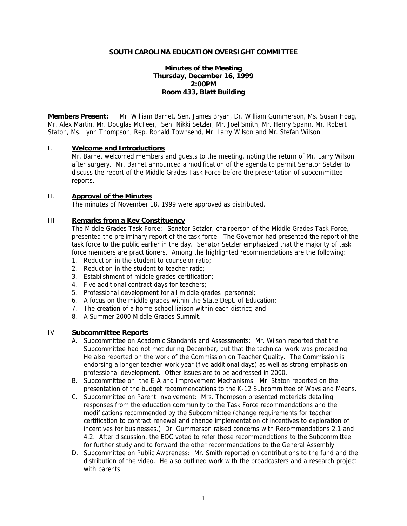#### **SOUTH CAROLINA EDUCATION OVERSIGHT COMMITTEE**

# **Minutes of the Meeting Thursday, December 16, 1999 2:00PM Room 433, Blatt Building**

**Members Present:** Mr. William Barnet, Sen. James Bryan, Dr. William Gummerson, Ms. Susan Hoag, Mr. Alex Martin, Mr. Douglas McTeer, Sen. Nikki Setzler, Mr. Joel Smith, Mr. Henry Spann, Mr. Robert Staton, Ms. Lynn Thompson, Rep. Ronald Townsend, Mr. Larry Wilson and Mr. Stefan Wilson

## I. **Welcome and Introductions**

 Mr. Barnet welcomed members and guests to the meeting, noting the return of Mr. Larry Wilson after surgery. Mr. Barnet announced a modification of the agenda to permit Senator Setzler to discuss the report of the Middle Grades Task Force before the presentation of subcommittee reports.

#### II. **Approval of the Minutes**

The minutes of November 18, 1999 were approved as distributed.

# III. **Remarks from a Key Constituency**

The Middle Grades Task Force: Senator Setzler, chairperson of the Middle Grades Task Force, presented the preliminary report of the task force. The Governor had presented the report of the task force to the public earlier in the day. Senator Setzler emphasized that the majority of task force members are practitioners. Among the highlighted recommendations are the following:

- 1. Reduction in the student to counselor ratio;
- 2. Reduction in the student to teacher ratio;
- 3. Establishment of middle grades certification;
- 4. Five additional contract days for teachers;
- 5. Professional development for all middle grades personnel;
- 6. A focus on the middle grades within the State Dept. of Education;
- 7. The creation of a home-school liaison within each district; and
- 8. A Summer 2000 Middle Grades Summit.

# IV. **Subcommittee Reports**

- A. Subcommittee on Academic Standards and Assessments: Mr. Wilson reported that the Subcommittee had not met during December, but that the technical work was proceeding. He also reported on the work of the Commission on Teacher Quality. The Commission is endorsing a longer teacher work year (five additional days) as well as strong emphasis on professional development. Other issues are to be addressed in 2000.
- B. Subcommittee on the EIA and Improvement Mechanisms: Mr. Staton reported on the presentation of the budget recommendations to the K-12 Subcommittee of Ways and Means.
- C. Subcommittee on Parent Involvement: Mrs. Thompson presented materials detailing responses from the education community to the Task Force recommendations and the modifications recommended by the Subcommittee (change requirements for teacher certification to contract renewal and change implementation of incentives to exploration of incentives for businesses.) Dr. Gummerson raised concerns with Recommendations 2.1 and 4.2. After discussion, the EOC voted to refer those recommendations to the Subcommittee for further study and to forward the other recommendations to the General Assembly.
- D. Subcommittee on Public Awareness: Mr. Smith reported on contributions to the fund and the distribution of the video. He also outlined work with the broadcasters and a research project with parents.